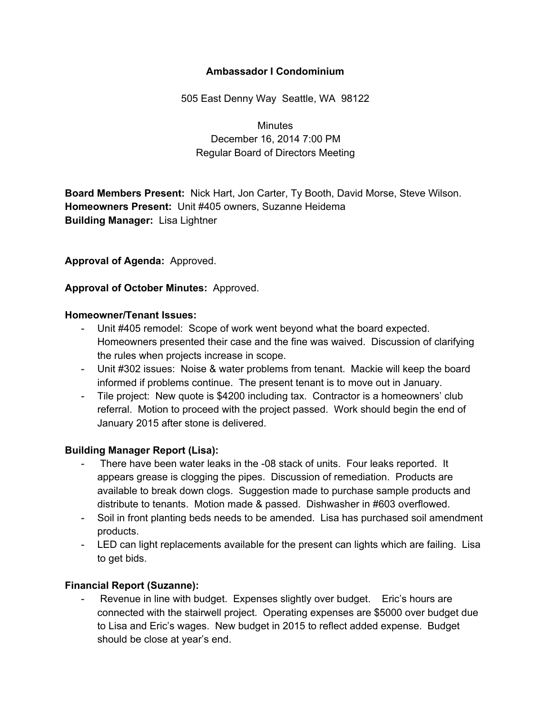#### **Ambassador I Condominium**

505 East Denny Way Seattle, WA 98122

**Minutes** December 16, 2014 7:00 PM Regular Board of Directors Meeting

**Board Members Present:** Nick Hart, Jon Carter, Ty Booth, David Morse, Steve Wilson. **Homeowners Present:** Unit #405 owners, Suzanne Heidema **Building Manager:** Lisa Lightner

#### **Approval of Agenda:** Approved.

**Approval of October Minutes:** Approved.

#### **Homeowner/Tenant Issues:**

- Unit #405 remodel: Scope of work went beyond what the board expected. Homeowners presented their case and the fine was waived. Discussion of clarifying the rules when projects increase in scope.
- Unit #302 issues: Noise & water problems from tenant. Mackie will keep the board informed if problems continue. The present tenant is to move out in January.
- Tile project: New quote is \$4200 including tax. Contractor is a homeowners' club referral. Motion to proceed with the project passed. Work should begin the end of January 2015 after stone is delivered.

#### **Building Manager Report (Lisa):**

- There have been water leaks in the 08 stack of units. Four leaks reported. It appears grease is clogging the pipes. Discussion of remediation. Products are available to break down clogs. Suggestion made to purchase sample products and distribute to tenants. Motion made & passed. Dishwasher in #603 overflowed.
- Soil in front planting beds needs to be amended. Lisa has purchased soil amendment products.
- LED can light replacements available for the present can lights which are failing. Lisa to get bids.

## **Financial Report (Suzanne):**

 Revenue in line with budget. Expenses slightly over budget. Eric's hours are connected with the stairwell project. Operating expenses are \$5000 over budget due to Lisa and Eric's wages. New budget in 2015 to reflect added expense. Budget should be close at year's end.